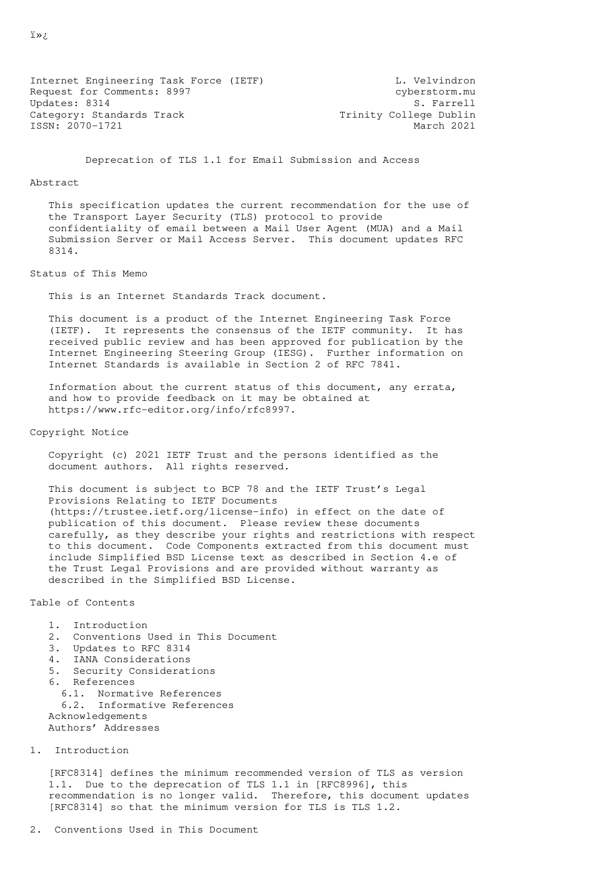Internet Engineering Task Force (IETF) and L. Velvindron Request for Comments: 8997 cyberstorm.mu Updates: 8314 S. Farrell Category: Standards Track Trinity College Dublin ISSN: 2070-1721 March 2021

Deprecation of TLS 1.1 for Email Submission and Access

## Abstract

 This specification updates the current recommendation for the use of the Transport Layer Security (TLS) protocol to provide confidentiality of email between a Mail User Agent (MUA) and a Mail Submission Server or Mail Access Server. This document updates RFC 8314.

## Status of This Memo

This is an Internet Standards Track document.

 This document is a product of the Internet Engineering Task Force (IETF). It represents the consensus of the IETF community. It has received public review and has been approved for publication by the Internet Engineering Steering Group (IESG). Further information on Internet Standards is available in Section 2 of RFC 7841.

 Information about the current status of this document, any errata, and how to provide feedback on it may be obtained at https://www.rfc-editor.org/info/rfc8997.

Copyright Notice

 Copyright (c) 2021 IETF Trust and the persons identified as the document authors. All rights reserved.

 This document is subject to BCP 78 and the IETF Trust's Legal Provisions Relating to IETF Documents (https://trustee.ietf.org/license-info) in effect on the date of publication of this document. Please review these documents carefully, as they describe your rights and restrictions with respect to this document. Code Components extracted from this document must include Simplified BSD License text as described in Section 4.e of the Trust Legal Provisions and are provided without warranty as described in the Simplified BSD License.

Table of Contents

```
 1. Introduction
```
- 2. Conventions Used in This Document
- 3. Updates to RFC 8314
- 4. IANA Considerations
- 5. Security Considerations
- 6. References
- 6.1. Normative References 6.2. Informative References Acknowledgements Authors' Addresses
- 1. Introduction

 [RFC8314] defines the minimum recommended version of TLS as version 1.1. Due to the deprecation of TLS 1.1 in [RFC8996], this recommendation is no longer valid. Therefore, this document updates [RFC8314] so that the minimum version for TLS is TLS 1.2.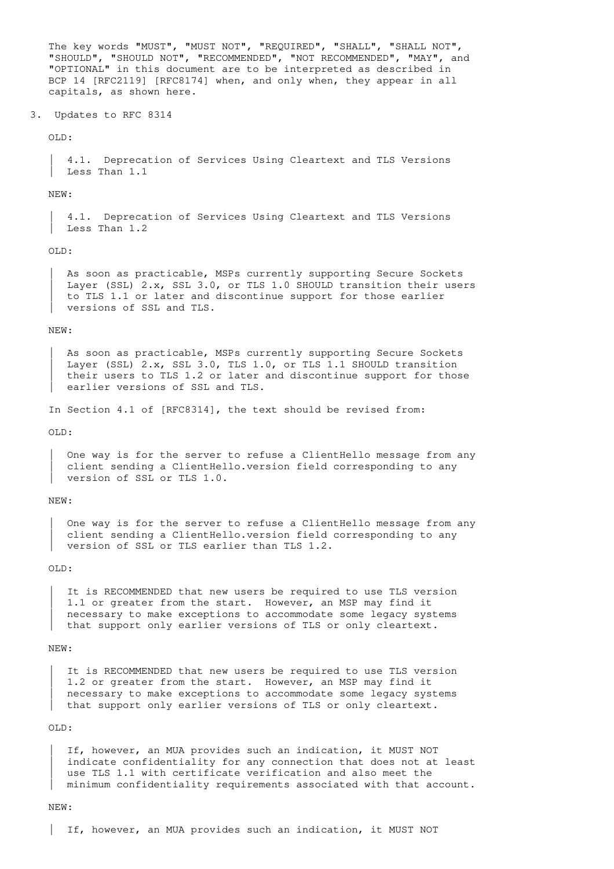The key words "MUST", "MUST NOT", "REQUIRED", "SHALL", "SHALL NOT", "SHOULD", "SHOULD NOT", "RECOMMENDED", "NOT RECOMMENDED", "MAY", and "OPTIONAL" in this document are to be interpreted as described in BCP 14 [RFC2119] [RFC8174] when, and only when, they appear in all capitals, as shown here.

3. Updates to RFC 8314

OLD:

 | 4.1. Deprecation of Services Using Cleartext and TLS Versions Less Than 1.1

NEW:

 | 4.1. Deprecation of Services Using Cleartext and TLS Versions | Less Than 1.2

OLD:

As soon as practicable, MSPs currently supporting Secure Sockets Layer (SSL) 2.x, SSL 3.0, or TLS 1.0 SHOULD transition their users | to TLS 1.1 or later and discontinue support for those earlier versions of SSL and TLS.

NEW:

As soon as practicable, MSPs currently supporting Secure Sockets Layer (SSL) 2.x, SSL 3.0, TLS 1.0, or TLS 1.1 SHOULD transition their users to TLS 1.2 or later and discontinue support for those earlier versions of SSL and TLS.

In Section 4.1 of [RFC8314], the text should be revised from:

 $O$ I.D $\cdot$ 

One way is for the server to refuse a ClientHello message from any client sending a ClientHello.version field corresponding to any version of SSL or TLS 1.0.

NEW:

One way is for the server to refuse a ClientHello message from any client sending a ClientHello.version field corresponding to any version of SSL or TLS earlier than TLS 1.2.

OLD:

It is RECOMMENDED that new users be required to use TLS version 1.1 or greater from the start. However, an MSP may find it necessary to make exceptions to accommodate some legacy systems that support only earlier versions of TLS or only cleartext.

NEW:

It is RECOMMENDED that new users be required to use TLS version 1.2 or greater from the start. However, an MSP may find it necessary to make exceptions to accommodate some legacy systems that support only earlier versions of TLS or only cleartext.

OLD:

If, however, an MUA provides such an indication, it MUST NOT indicate confidentiality for any connection that does not at least use TLS 1.1 with certificate verification and also meet the | minimum confidentiality requirements associated with that account.

NEW:

| If, however, an MUA provides such an indication, it MUST NOT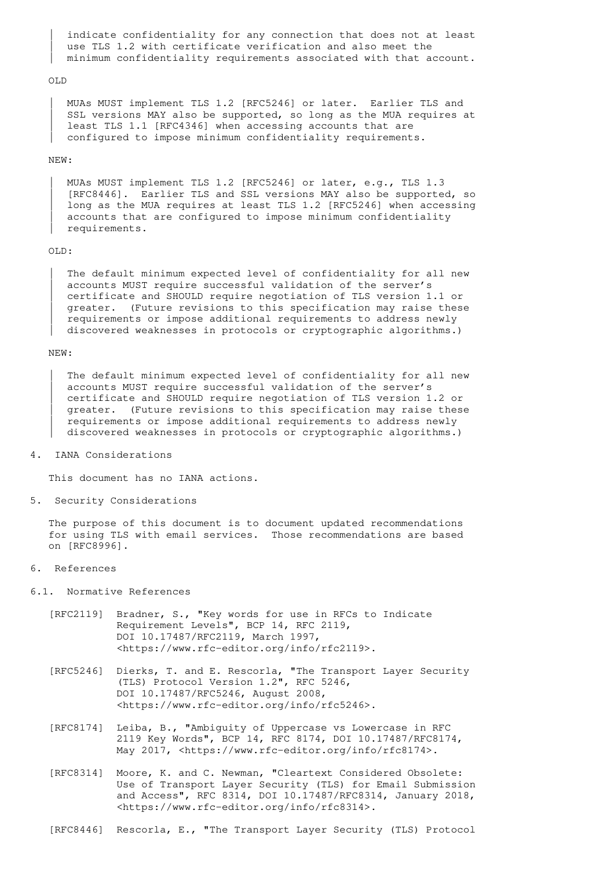indicate confidentiality for any connection that does not at least use TLS 1.2 with certificate verification and also meet the | minimum confidentiality requirements associated with that account.

## OLD

 | MUAs MUST implement TLS 1.2 [RFC5246] or later. Earlier TLS and SSL versions MAY also be supported, so long as the MUA requires at least TLS 1.1 [RFC4346] when accessing accounts that are configured to impose minimum confidentiality requirements.

# NEW:

 | MUAs MUST implement TLS 1.2 [RFC5246] or later, e.g., TLS 1.3 | [RFC8446]. Earlier TLS and SSL versions MAY also be supported, so long as the MUA requires at least TLS 1.2 [RFC5246] when accessing accounts that are configured to impose minimum confidentiality | requirements.

# OLD:

The default minimum expected level of confidentiality for all new accounts MUST require successful validation of the server's | certificate and SHOULD require negotiation of TLS version 1.1 or greater. (Future revisions to this specification may raise these | requirements or impose additional requirements to address newly discovered weaknesses in protocols or cryptographic algorithms.)

#### NEW:

The default minimum expected level of confidentiality for all new accounts MUST require successful validation of the server's | certificate and SHOULD require negotiation of TLS version 1.2 or greater. (Future revisions to this specification may raise these requirements or impose additional requirements to address newly discovered weaknesses in protocols or cryptographic algorithms.)

4. IANA Considerations

This document has no IANA actions.

5. Security Considerations

 The purpose of this document is to document updated recommendations for using TLS with email services. Those recommendations are based on [RFC8996].

6. References

6.1. Normative References

- [RFC2119] Bradner, S., "Key words for use in RFCs to Indicate Requirement Levels", BCP 14, RFC 2119, DOI 10.17487/RFC2119, March 1997, <https://www.rfc-editor.org/info/rfc2119>.
- [RFC5246] Dierks, T. and E. Rescorla, "The Transport Layer Security (TLS) Protocol Version 1.2", RFC 5246, DOI 10.17487/RFC5246, August 2008, <https://www.rfc-editor.org/info/rfc5246>.
	- [RFC8174] Leiba, B., "Ambiguity of Uppercase vs Lowercase in RFC 2119 Key Words", BCP 14, RFC 8174, DOI 10.17487/RFC8174, May 2017, <https://www.rfc-editor.org/info/rfc8174>.
	- [RFC8314] Moore, K. and C. Newman, "Cleartext Considered Obsolete: Use of Transport Layer Security (TLS) for Email Submission and Access", RFC 8314, DOI 10.17487/RFC8314, January 2018, <https://www.rfc-editor.org/info/rfc8314>.
	- [RFC8446] Rescorla, E., "The Transport Layer Security (TLS) Protocol